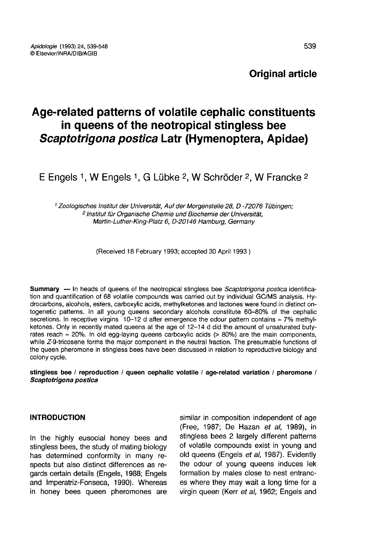# Age-related patterns of volatile cephalic constituents in queens of the neotropical stingless bee Scaptotrigona postica Latr (Hymenoptera, Apidae)

E Engels 1, W Engels 1, G Lübke 2, W Schröder 2, W Francke 2

<sup>1</sup> Zoologisches Institut der Universität, Auf der Morgenstelle 28, D -72076 Tübingen; <sup>2</sup> Institut für Organische Chemie und Biochemie der Universität, Martin-Luther-King-Platz 6, D-20146 Hamburg, Germany

(Received 18 February 1993; accepted 30 April 1993 )

Summary — In heads of queens of the neotropical stingless bee Scaptotrigona postica identification and quantification of 68 volatile compounds was carried out by individual GC/MS analysis. Hydrocarbons, alcohols, esters, carboxylic acids, methylketones and lactones were found in distinct ontogenetic patterns. In all young queens secondary alcohols constitute 60-80% of the cephalic secretions. In receptive virgins 10-12 d after emergence the odour pattern contains  $\approx$  7% methyl-<br>ketones. Only in recently mated queens at the age of 12-14 d did the amount of unsaturated butyrates reach  $\approx$  20%. In old egg-laying queens carboxylic acids (> 80%) are the main components, while Z-9-tricosene forms the major component in the neutral fraction. The presumable functions of the queen pheromone in stingless bees have been discussed in relation to reproductive biology and colony cycle.

stingless bee / reproduction / queen cephalic volatile / age-related variation / pheromone / Scaptotrigona postica

## INTRODUCTION

In the highly eusocial honey bees and stingless bees, the study of mating biology has determined conformity in many respects but also distinct differences as regards certain details (Engels, 1988; Engels and Imperatriz-Fonseca, 1990). Whereas in honey bees queen pheromones are similar in composition independent of age (Free, 1987; De Hazan et al, 1989), in stingless bees 2 largely different patterns of volatile compounds exist in young and old queens (Engels et al, 1987). Evidently the odour of young queens induces lek formation by males close to nest entrances where they may wait a long time for a virgin queen (Kerr et al, 1962; Engels and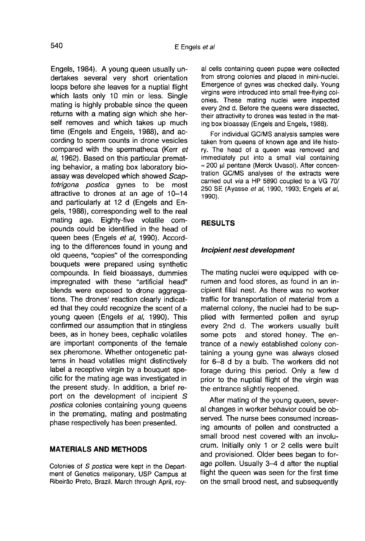Engels, 1984). A young queen usually undertakes several very short orientation loops before she leaves for a nuptial flight which lasts only 10 min or less. Single mating is highly probable since the queen returns with a mating sign which she herself removes and which takes up much time (Engels and Engels, 1988), and according to sperm counts in drone vesicles compared with the spermatheca (Kerr et al, 1962). Based on this particular premating behavior, a mating box laboratory bioassay was developed which showed Scaptotrigona postica gynes to be most attractive to drones at an age of 10-14 and particularly at 12 d (Engels and Engels, 1988), corresponding well to the real mating age. Eighty-five volatile compounds could be identified in the head of queen bees (Engels et al, 1990). According to the differences found in young and old queens, "copies" of the corresponding bouquets were prepared using synthetic compounds. In field bioassays, dummies impregnated with these "artificial head" blends were exposed to drone aggregations. The drones' reaction clearly indicated that they could recognize the scent of a young queen (Engels et al, 1990). This confirmed our assumption that in stingless bees, as in honey bees, cephalic volatiles are important components of the female sex pheromone. Whether ontogenetic patterns in head volatiles might distinctively label a receptive virgin by a bouquet specific for the mating age was investigated in the present study. In addition, a brief report on the development of incipient S postica colonies containing young queens in the premating, mating and postmating phase respectively has been presented.

## MATERIALS AND METHODS

Colonies of S postica were kept in the Depart- ment of Genetics meliponary, USP Campus at Ribeirão Preto, Brazil. March through April, royal cells containing queen pupae were collected from strong colonies and placed in mini-nuclei. Emergence of gynes was checked daily. Young virgins were introduced into small free-flying colonies. These mating nuclei were inspected every 2nd d. Before the queens were dissected, their attractivity to drones was tested in the mating box bioassay (Engels and Engels, 1988).

For individual GC/MS analysis samples were taken from queens of known age and life history. The head of a queen was removed and immediately put into a small vial containing  $\approx$  200 μl pentane (Merck Uvasol). After concentration GC/MS analyses of the extracts were carried out via a HP 5890 coupled to a VG 70/ 250 SE (Ayasse et al, 1990, 1993; Engels et al, 1990).

#### RESULTS

#### Incipient nest development

The mating nuclei were equipped with cerumen and food stores, as found in an incipient filial nest. As there was no worker traffic for transportation of material from a maternal colony, the nuclei had to be supplied with fermented pollen and syrup every 2nd d. The workers usually built some pots and stored honey. The entrance of a newly established colony containing a young gyne was always closed for 6-8 d by a bulb. The workers did not forage during this period. Only a few d prior to the nuptial flight of the virgin was the entrance slightly reopened.

After mating of the young queen, several changes in worker behavior could be observed. The nurse bees consumed increasing amounts of pollen and constructed a small brood nest covered with an involucrum. Initially only 1 or 2 cells were built and provisioned. Older bees began to forage pollen. Usually 3-4 d after the nuptial flight the queen was seen for the first time on the small brood nest, and subsequently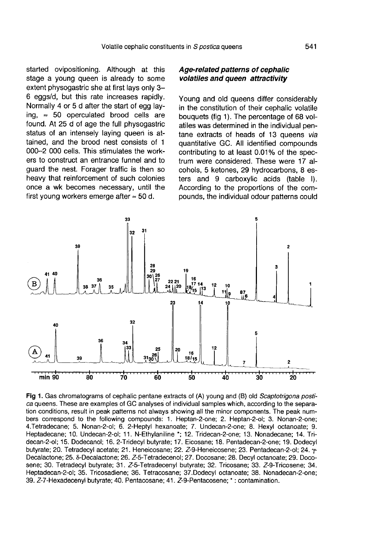started ovipositioning. Although at this stage a young queen is already to some extent physogastric she at first lays only 3-6 eggs/d, but this rate increases rapidly. Normally 4 or 5 d after the start of egg laying,  $\approx$  50 operculated brood cells are found. At 25 d of age the full physogastric status of an intensely laving queen is attained, and the brood nest consists of 1 000-2 000 cells. This stimulates the workers to construct an entrance funnel and to guard the nest. Forager traffic is then so heavy that reinforcement of such colonies once a wk becomes necessary, until the first young workers emerge after ≈ 50 d.

# Age-related patterns of cephalic volatiles and queen attractivity

Young and old queens differ considerably in the constitution of their cephalic volatile bouquets (fig 1). The percentage of 68 volatiles was determined in the individual pentane extracts of heads of 13 queens via quantitative GC. All identified compounds contributing to at least 0.01% of the spectrum were considered. These were 17 alcohols, 5 ketones, 29 hydrocarbons, 8 esters and 9 carboxylic acids (table I). According to the proportions of the compounds, the individual odour patterns could



Fig 1. Gas chromatograms of cephalic pentane extracts of (A) young and (B) old Scaptotrigona postica queens. These are examples of GC analyses of individual samples which, according to the separation conditions, result in peak patterns not always showing all the minor components. The peak numbers correspond to the following compounds: 1. Heptan-2-one; 2. Heptan-2-ol; 3. Nonan-2-one; 4. Tetradecane; 5. Nonan-2-ol; 6. 2-Heptyl hexanoate; 7. Undecan-2-one; 8. Hexyl octanoate; 9. Heptadecane; 10. Undecan-2-ol; 11. N-Ethylaniline \*; 12. Tridecan-2-one; 13. Nonadecane; 14. Tridecan-2-ol; 15. Dodecanol; 16. 2-Tridecyl butyrate; 17. Eicosane; 18. Pentadecan-2-one; 19. Dodecyl butyrate; 20. Tetradecyl acetate; 21. Heneicosane; 22. Z-9-Heneicosene; 23. Pentadecan-2-ol; 24. y-Decalactone; 25. 8-Decalactone; 26. Z-5-Tetradecenol; 27. Docosane; 28. Decyl octanoate; 29. Docosene; 30. Tetradecyl butyrate; 31. Z-5-Tetradecenyl butyrate; 32. Tricosane; 33. Z-9-Tricosene; 34. Heptadecan-2-ol; 35. Tricosadiene; 36. Tetracosane; 37. Dodecyl octanoate; 38. Nonadecan-2-one; 39. Z-7-Hexadecenyl butyrate; 40. Pentacosane; 41. Z-9-Pentacosene; \*: contamination.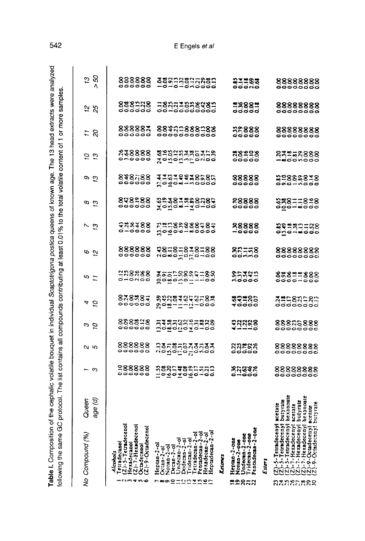| wa ama hima a<br>こうこう こうこう<br><b>The Second State Second Second Second Second Second Second Second Second Second Second Second Second Second Second Second Second Second Second Second Second Second Second Second Second Second Second Second Second Second S</b><br>o home of | $-$ and of 1 or more complete.                                                                                       |
|---------------------------------------------------------------------------------------------------------------------------------------------------------------------------------------------------------------------------------------------------------------------------------|----------------------------------------------------------------------------------------------------------------------|
| 7<br>יינה הוא לה הוא היה יי<br>- 1.5 mm mm mm mm mm<br><b>CONTACT</b><br>$\frac{1}{2}$<br>ı<br>ミミミニ こうこう                                                                                                                                                                        | Ì<br>at reast y.y is the war water<br>i<br>$\sim$ all common $\sim$<br>$\frac{1}{2}$<br>j<br>1<br>1<br>$\frac{1}{2}$ |
| m of the c <sub>e</sub>                                                                                                                                                                                                                                                         | ة<br>من                                                                                                              |

| ş               | Compound (%)                                                                                                                                                                                           | Queen<br>age (d)    | c                              | מ ו                                           | ာ ၃                  | 4 5                   | 5 0                  | ಂ ಎ                        | しど                                           | a a                         | თ<br>చ               | 5 s                           | 5 z                        | 5<br>7<br>2                 | ′ະ<br>ລັ               |  |
|-----------------|--------------------------------------------------------------------------------------------------------------------------------------------------------------------------------------------------------|---------------------|--------------------------------|-----------------------------------------------|----------------------|-----------------------|----------------------|----------------------------|----------------------------------------------|-----------------------------|----------------------|-------------------------------|----------------------------|-----------------------------|------------------------|--|
|                 | <b>Dass</b><br>$(2)$ - $5$ -Tetrado<br>$(2)$ -7-Herade<br>Octadecanol<br>$(2)$ -9-Octadec<br>Hexadecano<br>Alcohols                                                                                    |                     | 288888<br>------               | 888888                                        | 888818<br>888818     | 000000<br>87838       | 328288<br>228288     | 888888<br>000000           | 922188<br>523188                             | 000000<br>848288            | 848588               | 838888<br>000000              | 888883<br>000000           | 888128<br>888128            | 888888<br>000000       |  |
|                 | Heptan-2-ol<br>Ccan-2-ol<br>Ccan-2-ol<br>Decan-2-ol<br>Diodecan-2-ol<br>Undecan-2-ol<br>Pridecan-2-ol<br>Tridecan-2-ol<br>Tridecan-2-ol<br>Tridecan-2-ol<br>Penadecan-2-ol<br>Hexadecan-<br>Heptadecan |                     | 19895#8855753<br>19895#8855753 | <b>ី</b> ខ្ពុំដូចដូចដូចមិន<br>ដូចដូចដូចដូចដូច | 53858835888          | 86884646588           | 808050884188         | 88=8=8=8=88<br>10=05=8=8=8 | ដូងដូនមន្តនិន្ទុងនិង<br>ដូងដូនមន្តនិន្ទុងនិង | 35387888898                 | 110194486585         | gadanyagence<br>Sanganyagence | 88\$8588588<br>00000000000 | =83377838989<br>=8337783899 | 388238275882           |  |
| ≌ຂສສສ           | Heptan-2-one<br>Nontan-2-ope<br>Undecan-2-one<br>Tridecan-2-one<br>cntadecan-2<br>ldow)                                                                                                                |                     | 87882                          | អង្គក្នុង<br><b>ខ្លួន</b> ទី១                 | 11128                | 89386<br>10000        | 85393<br>85393       | 82178<br>82178             | 88888<br>-0000                               | <b>ខន្ធន្តន្ត</b><br>ទី១១១១ | 88888<br>88888       | ಇ8ಿ೨೦೫<br>೧೦೦೦೦               |                            | <b>=888=</b><br>==          | <b>211233</b><br>22233 |  |
|                 | Ester.                                                                                                                                                                                                 |                     |                                |                                               |                      |                       |                      |                            |                                              |                             |                      |                               |                            |                             |                        |  |
| <b>DANSLESS</b> | Hexadeceayl<br>5-Tetradeceny<br>-Tetradeceny<br>exadecenyl<br><u>GOOGOOGO</u>                                                                                                                          | butyrate<br>scetate | 88888888<br><b>eeeee</b> e     | 88888888<br>00000000                          | 88885888<br>00000000 | 3=18318:1<br>00000000 | 88821888<br>0000-000 | 88888888                   | 20238⊐=88<br>2023                            | 93811828<br>9991#000        | 22888878<br>22888878 | 83228888<br>------------      | 88888888<br>98888888       | 88888888<br>00000000        | 88888888<br>00000000   |  |

542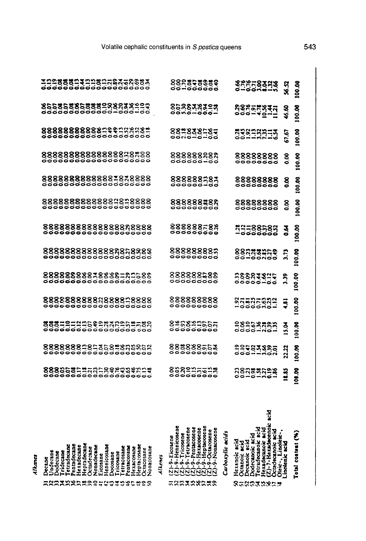| Volatile cephalic constituents in S postica queens |  |
|----------------------------------------------------|--|
|----------------------------------------------------|--|

| Heptadecane<br>Octadecane<br>Heneicosane<br><b>Letradecane</b><br>Heptacosane<br>Pentadecane<br>Hexadecane<br>Nonadecane<br><b>Cetracosane</b><br>Pentacosane<br><b>lexacosane</b><br>Nonacosane<br>Octacosane<br>Jndecane<br>Dodecane<br>Tridecane<br>Tricosane<br>Docosane<br>Eicosane<br><u> EREXXERESTROIPERES</u> | Heneicosen<br>-9-Heptacosen<br>etracosene<br>Pentacosene<br>9-Hexacosene<br>-9-Octacosene<br>-9-Nonacosen<br>Carboxylic acids<br><b>Tricosene</b><br>9-Eicosene<br>9-Heneicos<br>Alkenes<br>୍ଦୁ<br>$\phi$<br>$\overline{5}$<br><b>~~~~~~~~~</b> ~ | Total content (%)<br>Heradecanoic acid<br>(Z)-7-Heradeceno<br>Octodecanoic acid<br>Decanoic acid<br>Dodecanoic aci<br>Tetradecanoic:<br>Hexanoic acid<br>Oleic-, Linole<br>.inotenic acid<br>Octanoic acid<br>858838869 |
|------------------------------------------------------------------------------------------------------------------------------------------------------------------------------------------------------------------------------------------------------------------------------------------------------------------------|---------------------------------------------------------------------------------------------------------------------------------------------------------------------------------------------------------------------------------------------------|-------------------------------------------------------------------------------------------------------------------------------------------------------------------------------------------------------------------------|
|                                                                                                                                                                                                                                                                                                                        |                                                                                                                                                                                                                                                   | 100.00<br>18.85<br>88888888                                                                                                                                                                                             |
| 88888882353582833853<br>9999999999999999999                                                                                                                                                                                                                                                                            | 888888553<br>00000000                                                                                                                                                                                                                             | 100.00<br>23583888<br>22.22                                                                                                                                                                                             |
|                                                                                                                                                                                                                                                                                                                        | 828823555<br>828823555                                                                                                                                                                                                                            | <b>89.001</b><br>$\frac{3}{2}$                                                                                                                                                                                          |
|                                                                                                                                                                                                                                                                                                                        | 888888888<br>00000000                                                                                                                                                                                                                             | 100.00<br><b>83885882</b><br>2000000-<br>៊ុ                                                                                                                                                                             |
| <b>888888888#8888=8588<br/>000000000000000000</b>                                                                                                                                                                                                                                                                      | 888888588<br>----------                                                                                                                                                                                                                           | 100.00<br><b>38883815</b><br>28883815<br>$\frac{3}{2}$                                                                                                                                                                  |
| 88888888888888858888<br><b>88888888888888</b> 8                                                                                                                                                                                                                                                                        | 888888885<br>688888885                                                                                                                                                                                                                            | 100.00<br>88533855<br>8853855<br>$\ddot{5}$                                                                                                                                                                             |
|                                                                                                                                                                                                                                                                                                                        | 888888588<br>00000000                                                                                                                                                                                                                             | 100.00<br>~~~~~~~~~<br>~~~~~~~~~<br>उँ                                                                                                                                                                                  |
|                                                                                                                                                                                                                                                                                                                        | 888888#88<br>-----------                                                                                                                                                                                                                          | 100.00<br>88888888<br>ខ្ញុ                                                                                                                                                                                              |
|                                                                                                                                                                                                                                                                                                                        | 888888787                                                                                                                                                                                                                                         | 100.00<br>88888888<br>00000000<br>ខ្លួ                                                                                                                                                                                  |
|                                                                                                                                                                                                                                                                                                                        | 888888888<br>000000-00                                                                                                                                                                                                                            | 100.00<br>88888888<br>00000000<br>g                                                                                                                                                                                     |
|                                                                                                                                                                                                                                                                                                                        | 883838587                                                                                                                                                                                                                                         | 100.00<br>23232253<br>67.67                                                                                                                                                                                             |
|                                                                                                                                                                                                                                                                                                                        | 8588383503<br>858838350                                                                                                                                                                                                                           | 100.00<br>ੑੑੑੑੑਲ਼ਖ਼ਫ਼ਲ਼ਖ਼ਜ਼<br>ਲ਼ੑਫ਼ਲ਼ਫ਼ਲ਼ਖ਼ <u>ਜ਼ਜ਼</u><br>46.60                                                                                                                                                       |
| 100888111008008358883<br>0000000000000000000                                                                                                                                                                                                                                                                           | 888858889<br>00-000000                                                                                                                                                                                                                            | 82258328<br>100.00<br><b>x</b>                                                                                                                                                                                          |

Alkanes

543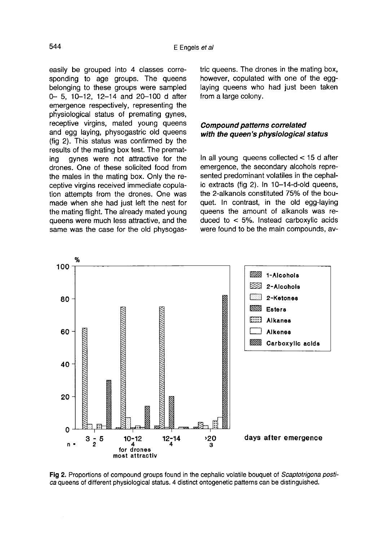easily be grouped into 4 classes corresponding to age groups. The queens belonging to these groups were sampled 0- 5, 10-12, 12-14 and 20-100 d after emergence respectively, representing the physiological status of premating gynes, receptive virgins, mated young queens and egg laying, physogastric old queens (fig 2). This status was confirmed by the results of the mating box test. The premat-<br>ing quines were not attractive for the gynes were not attractive for the drones. One of these solicited food from the males in the mating box. Only the receptive virgins received immediate copulation attempts from the drones. One was made when she had just left the nest for the mating flight. The already mated young queens were much less attractive, and the same was the case for the old physogastric queens. The drones in the mating box, however, copulated with one of the egglaying queens who had just been taken from a large colony.

# Compound patterns correlated with the queen's physiological status

In all young queens collected < 15 d after emergence, the secondary alcohols represented predominant volatiles in the cephalic extracts (fig 2). In 10-14-d-old queens, the 2-alkanols constituted 75% of the bouquet. In contrast, in the old egg-laying queens the amount of alkanols was reduced to < 5%. Instead carboxylic acids were found to be the main compounds, av-



Fig 2. Proportions of compound groups found in the cephalic volatile bouquet of Scaptotrigona postica queens of different physiological status. 4 distinct ontogenetic patterns can be distinguished.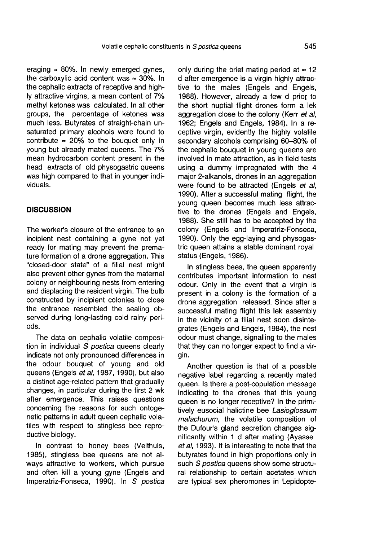eraging  $\approx$  80%. In newly emerged gynes, the carboxylic acid content was  $\approx$  30%. In the cephalic extracts of receptive and highly attractive virgins, a mean content of 7% methyl ketones was calculated. In all other groups, the percentage of ketones was much less. Butyrates of straight-chain unsaturated primary alcohols were found to contribute  $\approx 20\%$  to the bouquet only in young but already mated queens. The 7% mean hydrocarbon content present in the head extracts of old physogastric queens was high compared to that in younger individuals.

## **DISCUSSION**

The worker's closure of the entrance to an incipient nest containing a gyne not yet ready for mating may prevent the premature formation of a drone aggregation. This "closed-door state" of a filial nest might also prevent other gynes from the maternal colony or neighbouring nests from entering and displacing the resident virgin. The bulb constructed by incipient colonies to close the entrance resembled the sealing observed during long-lasting cold rainy periods.

The data on cephalic volatile composition in individual S postica queens clearly indicate not only pronounced differences in the odour bouquet of young and old queens (Engels et al, 1987, 1990), but also a distinct age-related pattern that gradually changes, in particular during the first 2 wk after emergence. This raises questions concerning the reasons for such ontogenetic patterns in adult queen cephalic volatiles with respect to stingless bee reproductive biology.

In contrast to honey bees (Velthuis, 1985), stingless bee queens are not always attractive to workers, which pursue and often kill a young gyne (Engels and Imperatriz-Fonseca, 1990). In S postica

only during the brief mating period at  $\approx$  12 d after emergence is a virgin highly attractive to the males (Engels and Engels, 1988). However, already a few d prior to the short nuptial flight drones form a lek aggregation close to the colony (Kerr et al. 1962; Engels and Engels, 1984). In a receptive virgin, evidently the highly volatile secondary alcohols comprising 60-80% of the cephalic bouquet in young queens are involved in mate attraction, as in field tests using a dummy impregnated with the 4 major 2-alkanols, drones in an aggregation were found to be attracted (Engels et al, 1990). After a successful mating flight, the young queen becomes much less attractive to the drones (Engels and Engels, 1988). She still has to be accepted by the colony (Engels and Imperatriz-Fonseca, 1990). Only the egg-laying and physogastric queen attains a stable dominant royal status (Engels, 1986).

In stingless bees, the queen apparently contributes important information to nest odour. Only in the event that a virgin is present in a colony is the formation of a drone aggregation released. Since after a successful mating flight this lek assembly in the vicinity of a filial nest soon disintegrates (Engels and Engels, 1984), the nest odour must change, signalling to the males that they can no longer expect to find a virgin.

Another question is that of a possible negative label regarding a recently mated queen. Is there a post-copulation message indicating to the drones that this young queen is no longer receptive? In the primitively eusocial halictine bee Lasioglossum malachurum, the volatile composition of the Dufour's gland secretion changes significantly within 1 d after mating (Ayasse et al, 1993). It is interesting to note that the butyrates found in high proportions only in such S postica queens show some structural relationship to certain acetates which are typical sex pheromones in Lepidopte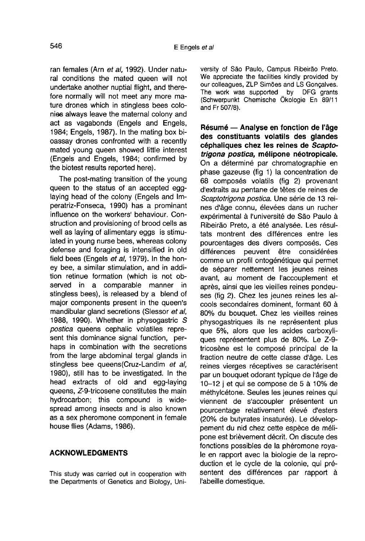ran females (Arn et al, 1992). Under natural conditions the mated queen will not undertake another nuptial flight, and therefore normally will not meet any more mature drones which in stingless bees colonies always leave the maternal colony and act as vagabonds (Engels and Engels, 1984; Engels, 1987). In the mating box bioassay drones confronted with a recently mated young queen showed little interest (Engels and Engels, 1984; confirmed by the biotest results reported here).

The post-mating transition of the young queen to the status of an accepted egglaying head of the colony (Engels and Imperatriz-Fonseca, 1990) has a prominant influence on the workers' behaviour. Construction and provisioning of brood cells as well as laying of alimentary eggs is stimulated in young nurse bees, whereas colony defense and foraging is intensified in old field bees (Engels et al, 1979). In the honey bee, a similar stimulation, and in addition retinue formation (which is not observed in a comparable manner in stingless bees), is released by a blend of major components present in the queen's mandibular gland secretions (Slessor et al, 1988, 1990). Whether in physogastric S postica queens cephalic volatiles represent this dominance signal function, perhaps in combination with the secretions from the large abdominal tergal glands in stingless bee queens(Cruz-Landim et al, 1980), still has to be investigated. In the head extracts of old and egg-laying queens, Z-9-tricosene constitutes the main hydrocarbon; this compound is widespread among insects and is also known as a sex pheromone component in female house flies (Adams, 1986).

## ACKNOWLEDGMENTS

This study was carried out in cooperation with the Departments of Genetics and Biology, University of São Paulo, Campus Ribeirão Preto. We appreciate the facilities kindly provided by our colleagues, ZLP Simões and LS Gonçalves.<br>The work was supported by DFG grants The work was supported (Schwerpunkt Chemische Ökologie En 89/11 and Fr 507/8).

Résumé — Analyse en fonction de l'âge des constituants volatils des glandes céphaliques chez les reines de Scaptotrigona postica, mélipone néotropicale. On a déterminé par chromatographie en phase gazeuse (fig 1) la concentration de 68 composés volatils (fig 2) provenant d'extraits au pentane de têtes de reines de Scaptotrigona postica. Une série de 13 reines d'âge connu, élevées dans un rucher expérimental à l'université de Sâo Paulo à Ribeirão Preto, a été analysée. Les résultats montrent des différences entre les pourcentages des divers composés. Ces différences peuvent être considérées comme un profil ontogénétique qui permet de séparer nettement les jeunes reines avant, au moment de l'accouplement et après, ainsi que les vieilles reines pondeu ses (fig 2). Chez les jeunes reines les alcools secondaires dominent, formant 60 à 80% du bouquet. Chez les vieilles reines physogastriques ils ne représentent plus que 5%, alors que les acides carboxyliques représentent plus de 80%. Le Z-9 tricosène est le composé principal de la fraction neutre de cette classe d'âge. Les reines vierges réceptives se caractérisent par un bouquet odorant typique de l'âge de 10-12 j et qui se compose de 5 à 10% de méthylcétone. Seules les jeunes reines qui viennent de s'accoupler présentent un pourcentage relativement élevé d'esters (20% de butyrates insaturés). Le développement du nid chez cette espèce de mélipone est brièvement décrit. On discute des fonctions possibles de la phéromone royale en rapport avec la biologie de la reproduction et le cycle de la colonie, qui présentent des différences par rapport à l'abeille domestique.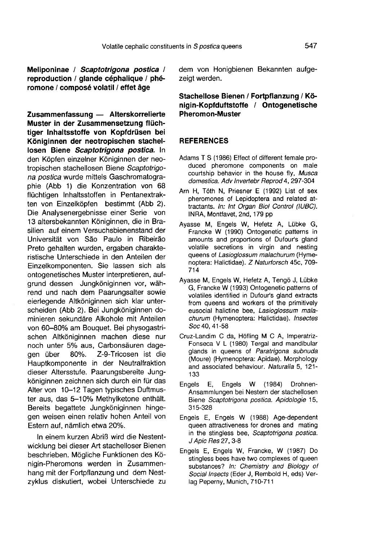Meliponinae / Scaptotrigona postica / reproduction / glande céphalique / phé romone / composé volatil / effet âge

Zusammenfassung — Alterskorrelierte Muster in der Zusammensetzung flüchtiger Inhaltsstoffe von Kopfdrüsen bei Königinnen der neotropischen stachellosen Biene Scaptotrigona postica. In den Köpfen einzelner Königinnen der neotropischen stachellosen Biene Scaptotrigo na postica wurde mittels Gaschromatographie (Abb 1) die Konzentration von 68 flüchtigen Inhaltsstoffen in Pentanextrakten von Einzelköpfen bestimmt (Abb 2). Die Analysenergebnisse einer Serie von 13 altersbekannten Königinnen, die in Brasilien auf einem Versuchsbienenstand der Universität von São Paulo in Ribeirão Preto gehalten wurden, ergaben charakteristische Unterschiede in den Anteilen der Einzelkomponenten. Sie lassen sich als ontogenetisches Muster interpretieren, aufgrund dessen Jungköniginnen vor, während und nach dem Paarungsalter sowie eierlegende Altköniginnen sich klar unterscheiden (Abb 2). Bei Jungköniginnen dominieren sekundäre Alkohole mit Anteilen von 60-80% am Bouquet. Bei physogastrischen Altköniginnen machen diese nur noch unter 5% aus, Carbonsäuren dage-<br>aen über 80%. Z-9-Tricosen ist die Z-9-Tricosen ist die Hauptkomponente in der Neutralfraktion dieser Altersstufe. Paarungsbereite Jungköniginnen zeichnen sich durch ein für das Alter von 10-12 Tagen typisches Duftmuster aus, das 5-10% Methylketone enthält. Bereits begattete Jungköniginnen hingegen weisen einen relativ hohen Anteil von Estern auf, nämlich etwa 20%.

In einem kurzen Abriß wird die Nestentwicklung bei dieser Art stachelloser Bienen beschrieben. Mögliche Funktionen des Königin-Pheromons werden in Zusammenhang mit der Fortpflanzung und dem Nestzyklus diskutiert, wobei Unterschiede zu

dem von Honigbienen Bekannten aufgezeigt werden.

## Stachellose Bienen / Fortpflanzung / Königin-Kopfduftstoffe / Ontogenetische Pheromon-Muster

## **REFERENCES**

- Adams T S (1986) Effect of different female produced pheromone components on male courtship behavior in the house fly, Musca domestica. Adv Invertebr Reprod 4, 297-304
- Arn H, Tóth N, Priesner E (1992) List of sex pheromones of Lepidoptera and related attractants. In: Int Organ Biol Control (IUBC). INRA, Montfavet, 2nd, 179 pp
- Ayasse M, Engels W, Hefetz A, Lübke G, Francke W (1990) Ontogenetic patterns in amounts and proportions of Dufour's gland volatile secretions in virgin and nesting queens of Lasioglossum malachurum (Hymenoptera: Halictidae). Z Naturforsch 45c, 709- 714
- Ayasse M, Engels W, Hefetz A, Tengö J, Lübke G, Francke W (1993) Ontogenetic patterns of volatiles identified in Dufour's gland extracts from queens and workers of the primitively eusocial halictine bee, Lasioglossum malachurum (Hymenoptera: Halictidae). Insectes Soc 40, 41-58
- Cruz-Landim C da, Höfling M C A, Imperatriz- Fonseca V L (1980) Tergal and mandibular glands in queens of Paratrigona subnuda (Moure) (Hymenoptera: Apidae). Morphology and associated behaviour. Naturalia 5, 121- 133
- Engels E, Engels W (1984) Drohnen-Ansammlungen bei Nestern der stachellosen Biene Scaptotrigona postica. Apidologie 15, 315-328
- Engels E, Engels W (1988) Age-dependent queen attractiveness for drones and mating in the stingless bee, Scaptotrigona postica. J Apic Res 27, 3-8
- Engels E, Engels W, Francke, W (1987) Do stingless bees have two complexes of queen substances? In: Chemistry and Biology of Social Insects (Eder J, Rembold H, eds) Verlag Peperny, Munich, 710-711